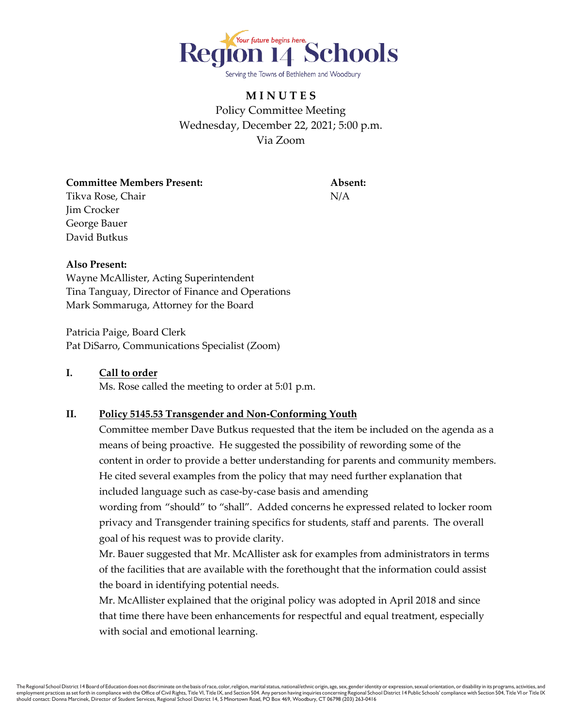

Serving the Towns of Bethlehem and Woodbury

# **M I N U T E S** Policy Committee Meeting Wednesday, December 22, 2021; 5:00 p.m. Via Zoom

**Committee Members Present: Absent:** Tikva Rose, Chair N/A Jim Crocker George Bauer David Butkus

### **Also Present:**

Wayne McAllister, Acting Superintendent Tina Tanguay, Director of Finance and Operations Mark Sommaruga, Attorney for the Board

Patricia Paige, Board Clerk Pat DiSarro, Communications Specialist (Zoom)

### **I. Call to order**

Ms. Rose called the meeting to order at 5:01 p.m.

## **II. Policy 5145.53 Transgender and Non-Conforming Youth**

Committee member Dave Butkus requested that the item be included on the agenda as a means of being proactive. He suggested the possibility of rewording some of the content in order to provide a better understanding for parents and community members. He cited several examples from the policy that may need further explanation that included language such as case-by-case basis and amending

wording from "should" to "shall". Added concerns he expressed related to locker room privacy and Transgender training specifics for students, staff and parents. The overall goal of his request was to provide clarity.

Mr. Bauer suggested that Mr. McAllister ask for examples from administrators in terms of the facilities that are available with the forethought that the information could assist the board in identifying potential needs.

Mr. McAllister explained that the original policy was adopted in April 2018 and since that time there have been enhancements for respectful and equal treatment, especially with social and emotional learning.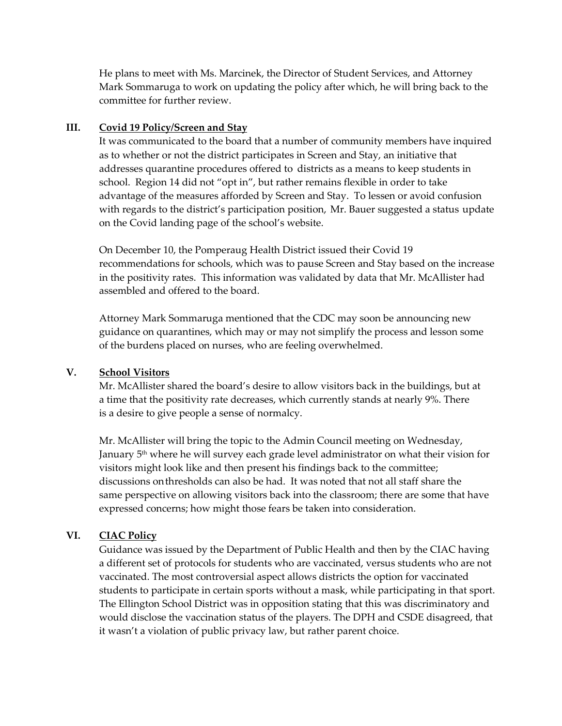He plans to meet with Ms. Marcinek, the Director of Student Services, and Attorney Mark Sommaruga to work on updating the policy after which, he will bring back to the committee for further review.

### **III. Covid 19 Policy/Screen and Stay**

It was communicated to the board that a number of community members have inquired as to whether or not the district participates in Screen and Stay, an initiative that addresses quarantine procedures offered to districts as a means to keep students in school. Region 14 did not "opt in", but rather remains flexible in order to take advantage of the measures afforded by Screen and Stay. To lessen or avoid confusion with regards to the district's participation position, Mr. Bauer suggested a status update on the Covid landing page of the school's website.

On December 10, the Pomperaug Health District issued their Covid 19 recommendations for schools, which was to pause Screen and Stay based on the increase in the positivity rates. This information was validated by data that Mr. McAllister had assembled and offered to the board.

Attorney Mark Sommaruga mentioned that the CDC may soon be announcing new guidance on quarantines, which may or may not simplify the process and lesson some of the burdens placed on nurses, who are feeling overwhelmed.

### **V. School Visitors**

Mr. McAllister shared the board's desire to allow visitors back in the buildings, but at a time that the positivity rate decreases, which currently stands at nearly 9%. There is a desire to give people a sense of normalcy.

Mr. McAllister will bring the topic to the Admin Council meeting on Wednesday, January 5<sup>th</sup> where he will survey each grade level administrator on what their vision for visitors might look like and then present his findings back to the committee; discussions onthresholds can also be had. It was noted that not all staff share the same perspective on allowing visitors back into the classroom; there are some that have expressed concerns; how might those fears be taken into consideration.

### **VI. CIAC Policy**

Guidance was issued by the Department of Public Health and then by the CIAC having a different set of protocols for students who are vaccinated, versus students who are not vaccinated. The most controversial aspect allows districts the option for vaccinated students to participate in certain sports without a mask, while participating in that sport. The Ellington School District was in opposition stating that this was discriminatory and would disclose the vaccination status of the players. The DPH and CSDE disagreed, that it wasn't a violation of public privacy law, but rather parent choice.